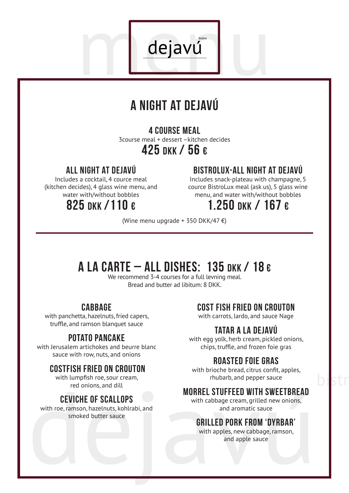

dejavú

### 4 course meal

3course meal + dessert –kitchen decides 425 nkk / 56 €

### all night at dejavú

Includes a cocktail, 4 cource meal (kitchen decides), 4 glass wine menu, and water with/without bobbles

## 825 DKK /110 €

### bistrolux-all night at dejavú

Includes snack-plateau with champagne, 5 cource BistroLux meal (ask us), 5 glass wine menu, and water with/without bobbles

### 1.250 DKK / 167 €

(Wine menu upgrade + 350 DKK/47 $\epsilon$ )

# A LA CARTE – ALL DISHES: 135 DKK / 18 $\epsilon$

We recommend 3-4 courses for a full levning meal. Bread and butter ad libitum: 8 DKK.

### **CABBAGE**

with panchetta, hazelnuts, fried capers, truffle, and ramson blanquet sauce

### potato pancake

with Jerusalem artichokes and beurre blanc sauce with row, nuts, and onions

#### Costfish fried on crouton

with lumpfish roe, sour cream, red onions, and dill

### Ceviche of scallops

with roe, ramson, hazelnuts, kohlrabi, and smoked butter sauce

#### cost fish fried on crouton

with carrots, lardo, and sauce Nage

### Tatar a la Dejavú

with egg yolk, herb cream, pickled onions, chips, truffle, and frozen foie gras

### Roasted foie gras

with brioche bread, citrus confit, apples, rhubarb, and pepper sauce

bistr

### morrel stuffeed with sweetbread

with cabbage cream, grilled new onions. and aromatic sauce

### Grilled pork from 'Dyrbar'

with apples, new cabbage, ramson, and apple sauce